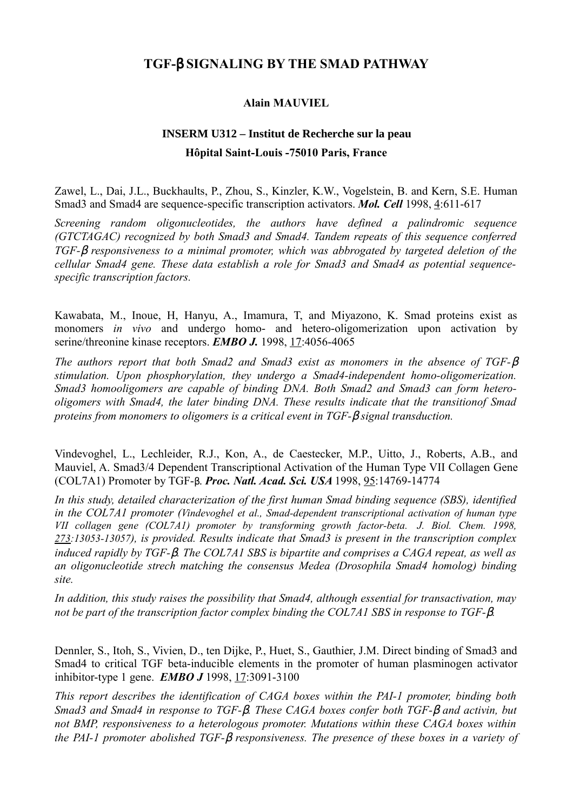## **TGF-**β **SIGNALING BY THE SMAD PATHWAY**

## **Alain MAUVIEL**

## **INSERM U312 – Institut de Recherche sur la peau Hôpital Saint-Louis -75010 Paris, France**

Zawel, L., Dai, J.L., Buckhaults, P., Zhou, S., Kinzler, K.W., Vogelstein, B. and Kern, S.E. Human Smad3 and Smad4 are sequence-specific transcription activators. *Mol. Cell* 1998, 4:611-617

*Screening random oligonucleotides, the authors have defined a palindromic sequence (GTCTAGAC) recognized by both Smad3 and Smad4. Tandem repeats of this sequence conferred TGF-*β *responsiveness to a minimal promoter, which was abbrogated by targeted deletion of the cellular Smad4 gene. These data establish a role for Smad3 and Smad4 as potential sequencespecific transcription factors.*

Kawabata, M., Inoue, H, Hanyu, A., Imamura, T, and Miyazono, K. Smad proteins exist as monomers *in vivo* and undergo homo- and hetero-oligomerization upon activation by serine/threonine kinase receptors. **EMBO J.** 1998, 17:4056-4065

*The authors report that both Smad2 and Smad3 exist as monomers in the absence of TGF-*β *stimulation. Upon phosphorylation, they undergo a Smad4-independent homo-oligomerization. Smad3 homooligomers are capable of binding DNA. Both Smad2 and Smad3 can form heterooligomers with Smad4, the later binding DNA. These results indicate that the transitionof Smad proteins from monomers to oligomers is a critical event in TGF-*β *signal transduction.*

Vindevoghel, L., Lechleider, R.J., Kon, A., de Caestecker, M.P., Uitto, J., Roberts, A.B., and Mauviel, A. Smad3/4 Dependent Transcriptional Activation of the Human Type VII Collagen Gene (COL7A1) Promoter by TGF-β. *Proc. Natl. Acad. Sci. USA* 1998, 95:14769-14774

*In this study, detailed characterization of the first human Smad binding sequence (SBS), identified in the COL7A1 promoter (Vindevoghel et al., Smad-dependent transcriptional activation of human type VII collagen gene (COL7A1) promoter by transforming growth factor-beta. J. Biol. Chem. 1998, 273:13053-13057), is provided. Results indicate that Smad3 is present in the transcription complex induced rapidly by TGF-*β*. The COL7A1 SBS is bipartite and comprises a CAGA repeat, as well as an oligonucleotide strech matching the consensus Medea (Drosophila Smad4 homolog) binding site.* 

*In addition, this study raises the possibility that Smad4, although essential for transactivation, may not be part of the transcription factor complex binding the COL7A1 SBS in response to TGF-*β*.*

Dennler, S., Itoh, S., Vivien, D., ten Dijke, P., Huet, S., Gauthier, J.M. Direct binding of Smad3 and Smad4 to critical TGF beta-inducible elements in the promoter of human plasminogen activator inhibitor-type 1 gene. *EMBO J* 1998, 17:3091-3100

*This report describes the identification of CAGA boxes within the PAI-1 promoter, binding both Smad3 and Smad4 in response to TGF-*β*. These CAGA boxes confer both TGF-*β *and activin, but not BMP, responsiveness to a heterologous promoter. Mutations within these CAGA boxes within the PAI-1 promoter abolished TGF-*β *responsiveness. The presence of these boxes in a variety of*